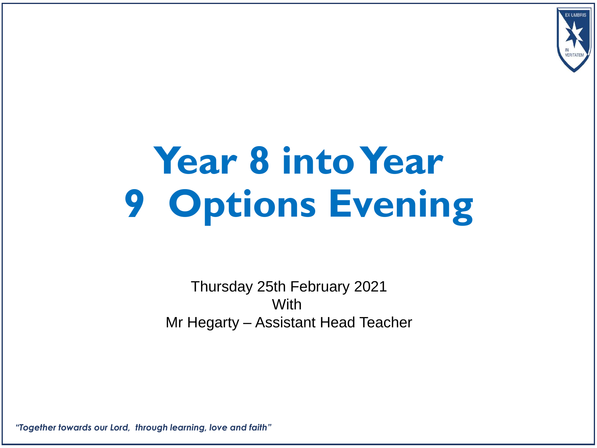

# **Year 8 into Year 9 Options Evening**

Thursday 25th February 2021 **With** Mr Hegarty – Assistant Head Teacher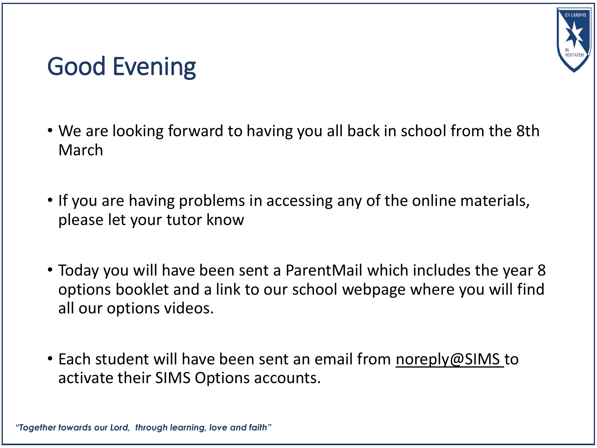

### Good Evening

- We are looking forward to having you all back in school from the 8th March
- If you are having problems in accessing any of the online materials, please let your tutor know
- Today you will have been sent a ParentMail which includes the year 8 options booklet and a link to our school webpage where you will find all our options videos.
- Each student will have been sent an email from noreply@SIMS to activate their SIMS Options accounts.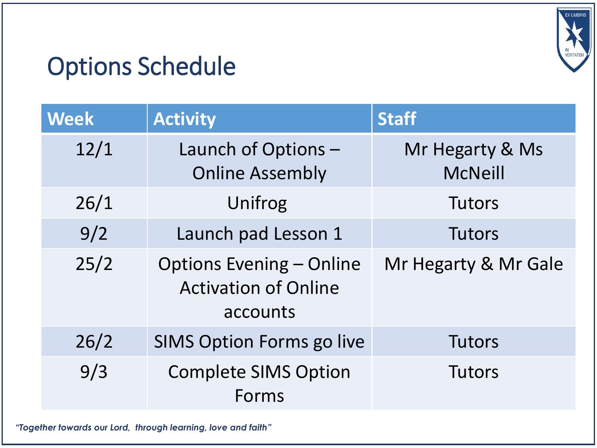

# Options Schedule

| <b>Week</b> | <b>Activity</b>                                                            | <b>Staff</b>                      |
|-------------|----------------------------------------------------------------------------|-----------------------------------|
| 12/1        | Launch of Options -<br><b>Online Assembly</b>                              | Mr Hegarty & Ms<br><b>McNeill</b> |
| 26/1        | Unifrog                                                                    | <b>Tutors</b>                     |
| 9/2         | Launch pad Lesson 1                                                        | <b>Tutors</b>                     |
| 25/2        | <b>Options Evening - Online</b><br><b>Activation of Online</b><br>accounts | Mr Hegarty & Mr Gale              |
| 26/2        | <b>SIMS Option Forms go live</b>                                           | <b>Tutors</b>                     |
| 9/3         | <b>Complete SIMS Option</b><br>Forms                                       | <b>Tutors</b>                     |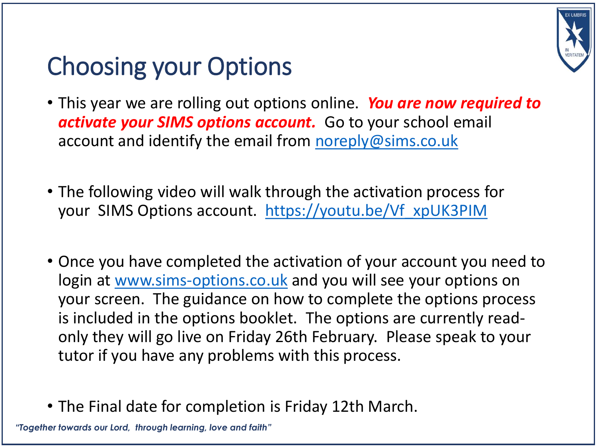

# Choosing your Options

- This year we are rolling out options online. *You are now required to activate your SIMS options account.* Go to your school email account and identify the email from [noreply@sims.co.uk](mailto:noreply@sims.co.uk)
- The following video will walk through the activation process for your SIMS Options account. [https://youtu.be/Vf\\_xpUK3PIM](https://youtu.be/Vf_xpUK3PIM)
- Once you have completed the activation of your account you need to login at [www.sims-options.co.uk](http://www.sims-options.co.uk) and you will see your options on your screen. The guidance on how to complete the options process is included in the options booklet. The options are currently readonly they will go live on Friday 26th February. Please speak to your tutor if you have any problems with this process.
- The Final date for completion is Friday 12th March.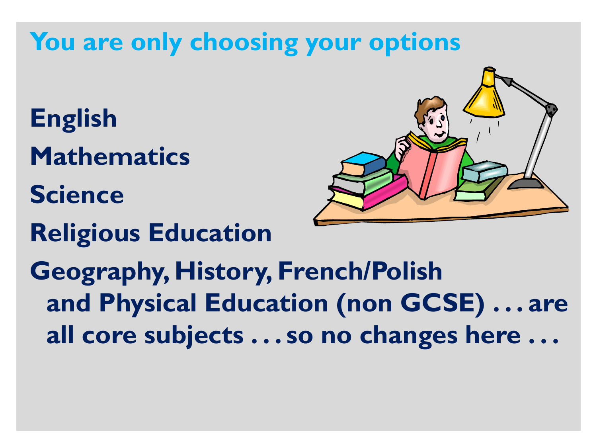# **You are only choosing your options**

- **English Mathematics**
- **Science**
- **Religious Education**



**Geography, History, French/Polish and Physical Education (non GCSE) . . . are all core subjects . . . so no changes here . . .**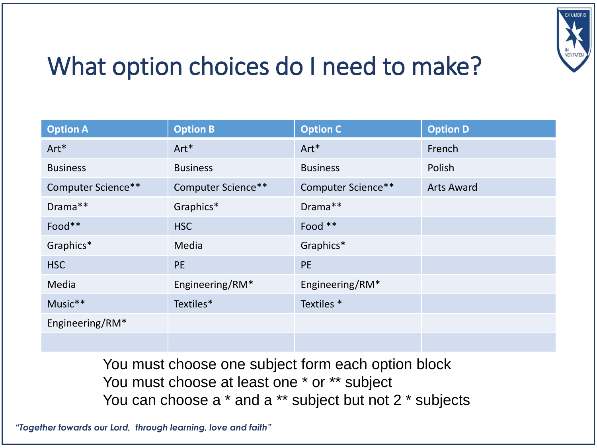

# What option choices do I need to make?

| <b>Option A</b>    | <b>Option B</b>    | <b>Option C</b>       | <b>Option D</b>   |
|--------------------|--------------------|-----------------------|-------------------|
| Art*               | Art*               | Art*                  | French            |
| <b>Business</b>    | <b>Business</b>    | <b>Business</b>       | Polish            |
| Computer Science** | Computer Science** | Computer Science**    | <b>Arts Award</b> |
| Drama**            | Graphics*          | Drama**               |                   |
| Food**             | <b>HSC</b>         | Food **               |                   |
| Graphics*          | Media              | Graphics*             |                   |
| <b>HSC</b>         | <b>PE</b>          | <b>PE</b>             |                   |
| Media              | Engineering/RM*    | Engineering/RM*       |                   |
| Music**            | Textiles*          | Textiles <sup>*</sup> |                   |
| Engineering/RM*    |                    |                       |                   |
|                    |                    |                       |                   |

You must choose one subject form each option block You must choose at least one \* or \*\* subject You can choose a  $*$  and a  $**$  subject but not 2  $*$  subjects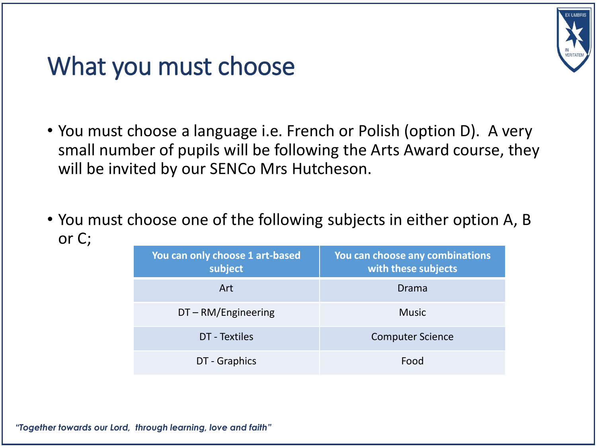

### What you must choose

- You must choose a language i.e. French or Polish (option D). A very small number of pupils will be following the Arts Award course, they will be invited by our SENCo Mrs Hutcheson.
- You must choose one of the following subjects in either option A, B or C;

| You can only choose 1 art-based<br>subject | You can choose any combinations<br>with these subjects |
|--------------------------------------------|--------------------------------------------------------|
| Art                                        | Drama                                                  |
| $DT - RM/Engineering$                      | <b>Music</b>                                           |
| DT - Textiles                              | <b>Computer Science</b>                                |
| DT - Graphics                              | Food                                                   |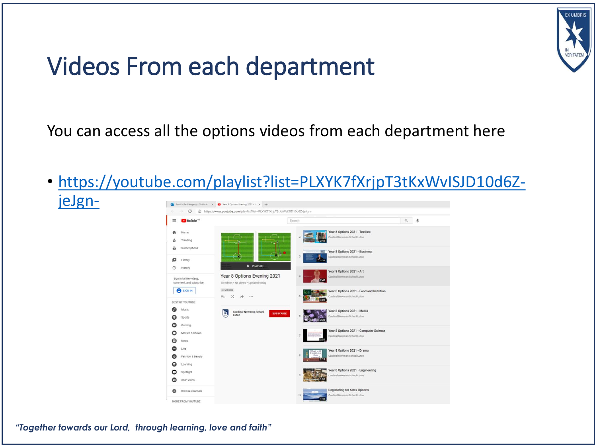

### Videos From each department

#### You can access all the options videos from each department here

• [https://youtube.com/playlist?list=PLXYK7fXrjpT3tKxWvISJD10d6Z](https://youtube.com/playlist?list=PLXYK7fXrjpT3tKxWvISJD10d6Z-jeJgn-)jeJgn- $\overline{0}$  Email - Paul Hegarty - Outlook  $x$   $\overline{a}$  Vear 8 Options Evening 2021 -  $x$   $+$ 

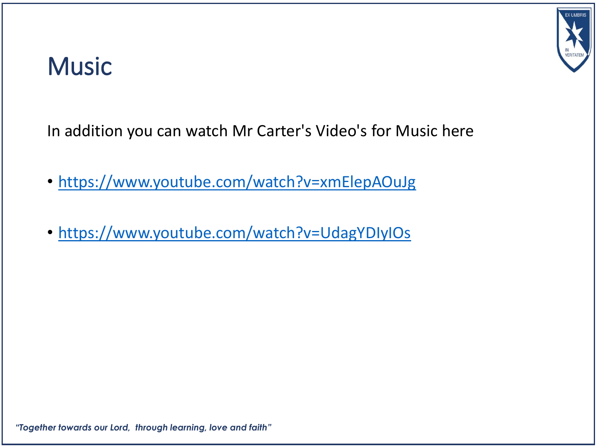

### **Music**

In addition you can watch Mr Carter's Video's for Music here

- <https://www.youtube.com/watch?v=xmElepAOuJg>
- <https://www.youtube.com/watch?v=UdagYDIyIOs>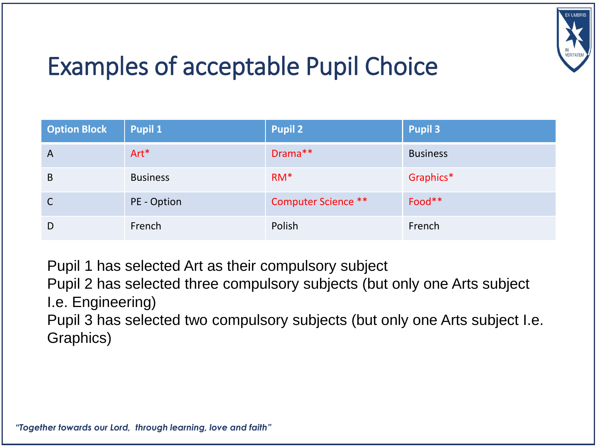

# Examples of acceptable Pupil Choice

| <b>Option Block</b> | <b>Pupil 1</b>  | <b>Pupil 2</b>             | <b>Pupil 3</b>  |
|---------------------|-----------------|----------------------------|-----------------|
| $\overline{A}$      | $Art*$          | Drama**                    | <b>Business</b> |
| B                   | <b>Business</b> | $RM*$                      | Graphics*       |
| $\mathsf{C}$        | PE - Option     | <b>Computer Science **</b> | Food**          |
| D                   | French          | Polish                     | French          |

Pupil 1 has selected Art as their compulsory subject

Pupil 2 has selected three compulsory subjects (but only one Arts subject I.e. Engineering)

Pupil 3 has selected two compulsory subjects (but only one Arts subject I.e. Graphics)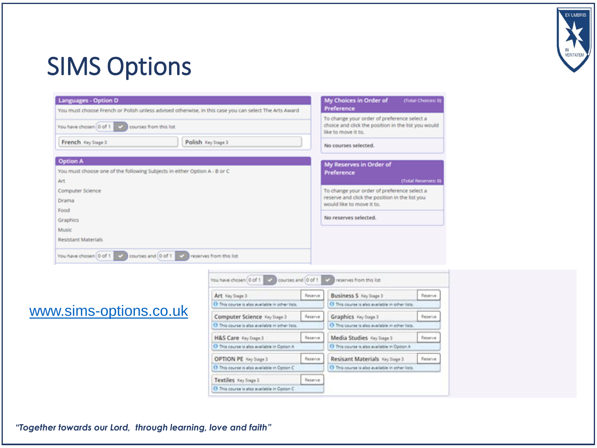

### SIMS Options

| <b>Languages - Option D</b><br>You must choose French or Polish unless advised otherwise, in this case you can select The Arts Award | My Choices in Order of<br>(Total Choices: 0)<br>Preference                                                                                        |  |
|--------------------------------------------------------------------------------------------------------------------------------------|---------------------------------------------------------------------------------------------------------------------------------------------------|--|
| You have chosen 0 of 1 3<br>courses from this list<br>Polish Key Stage 3<br>French Key Stage 3                                       | To change your order of preference select a<br>choice and click the position in the list you would<br>like to move it to.<br>No courses selected. |  |
| <b>Option A</b><br>You must choose one of the following Subjects in either Option A - B or C                                         | My Reserves in Order of<br>Preference                                                                                                             |  |
| Art<br>Computer Science<br>Drama                                                                                                     | (Total Reserves: 0)<br>To change your order of preference select a<br>reserve and click the position in the list you<br>would like to move it to. |  |
| Food<br>Graphics<br>Music                                                                                                            | No reserves selected.                                                                                                                             |  |
| <b>Resistant Materials</b><br>courses and 0 of 1<br>You have chosen 0 of 1<br>reserves from this list                                |                                                                                                                                                   |  |

#### [www.sims-options.co.uk](http://www.sims-options.co.uk)

| Art Key Stage 3                                          | Reserve: | <b>Business S</b> Key Stage 3                                | Reserve |
|----------------------------------------------------------|----------|--------------------------------------------------------------|---------|
| 1 This course is also available in other lats.           |          | <sup>(1)</sup> This course is also available in other lists. |         |
| Computer Science Key Stage 3                             | Reserve  | Graphics Key Stage 1                                         | Reserve |
| 13 This course is also available in other lists.         |          | 1 This course is also available in other lists.              |         |
| H&S Care Key Stage 3                                     | Reserve  | Media Studies Key Stage 3                                    | Reserve |
| <sup>O</sup> This course is also available in Option A   |          | <sup>1</sup> This course is also available in Option A.      |         |
| OPTION PE Key Stage 3                                    | Reserve  | Resisant Materials Key Suge 3                                | Reserve |
| <sup>(3)</sup> This course is also available in Option C |          | 1 This course is also available in other lists.              |         |
| Textiles Key Stage 3                                     | Reserve  |                                                              |         |
| C This course is also available in Option C              |          |                                                              |         |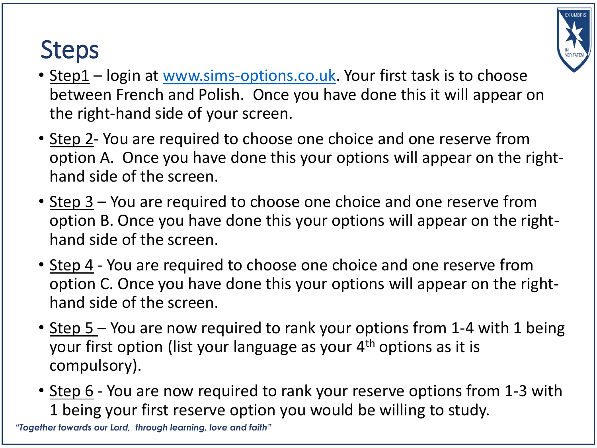# Steps



- Step 2- You are required to choose one choice and one reserve from option A. Once you have done this your options will appear on the righthand side of the screen.
- Step 3 You are required to choose one choice and one reserve from option B. Once you have done this your options will appear on the righthand side of the screen.
- Step 4 You are required to choose one choice and one reserve from option C. Once you have done this your options will appear on the righthand side of the screen.
- Step 5 You are now required to rank your options from 1-4 with 1 being your first option (list your language as your  $4<sup>th</sup>$  options as it is compulsory).
- Step 6 You are now required to rank your reserve options from 1-3 with 1 being your first reserve option you would be willing to study.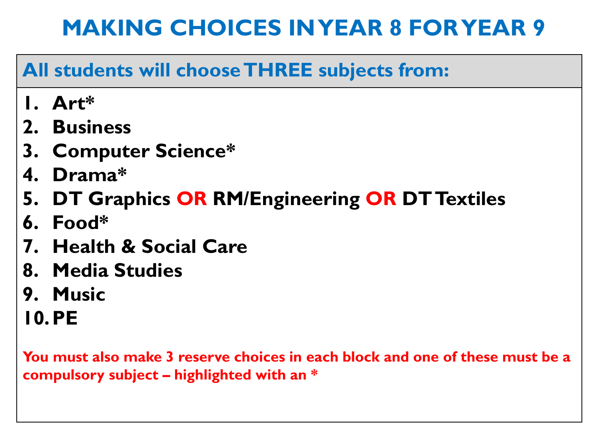#### **All students will choose THREE subjects from:**

- **1. Art\***
- **2. Business**
- **3. Computer Science\***
- **4. Drama\***
- **5. DT Graphics OR RM/Engineering OR DT Textiles**
- **6. Food\***
- **7. Health & Social Care**
- **8. Media Studies**
- **9. Music**
- **10.PE**

**You must also make 3 reserve choices in each block and one of these must be a compulsory subject – highlighted with an \***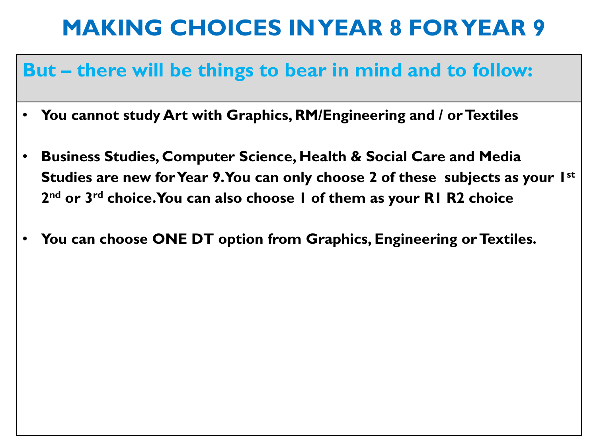#### **But – there will be things to bear in mind and to follow:**

- **You cannot study Art with Graphics, RM/Engineering and / or Textiles**
- **Business Studies, Computer Science, Health & Social Care and Media Studies are new for Year 9. You can only choose 2 of these subjects as your 1st 2 nd or 3rd choice. You can also choose 1 of them as your R1 R2 choice**
- **You can choose ONE DT option from Graphics, Engineering or Textiles.**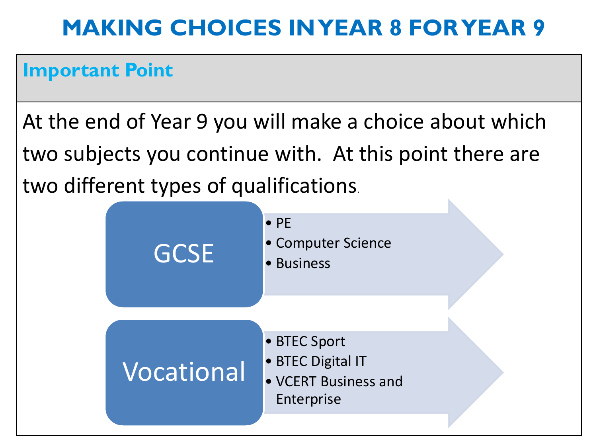#### **Important Point**

At the end of Year 9 you will make a choice about which two subjects you continue with. At this point there are two different types of qualifications.

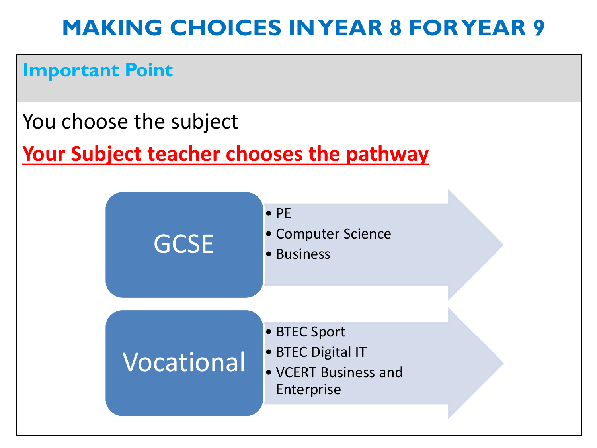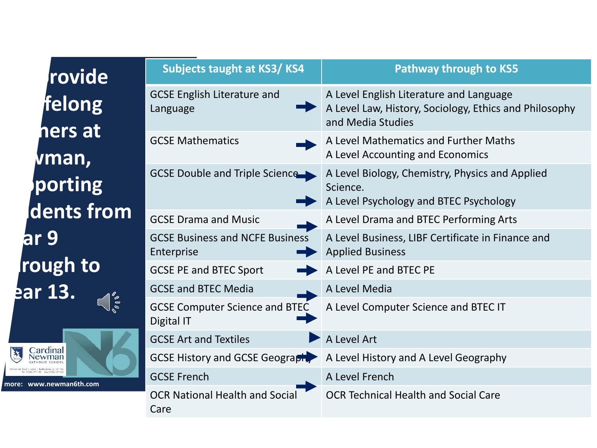| rovide                                                         | Subjects taught at KS3/KS4                           | <b>Pathway through to KS5</b>                                                                                          |
|----------------------------------------------------------------|------------------------------------------------------|------------------------------------------------------------------------------------------------------------------------|
| felong<br>hers at                                              | <b>GCSE English Literature and</b><br>Language       | A Level English Literature and Language<br>A Level Law, History, Sociology, Ethics and Philosophy<br>and Media Studies |
| vman,                                                          | <b>GCSE Mathematics</b>                              | A Level Mathematics and Further Maths<br>A Level Accounting and Economics                                              |
| porting                                                        | GCSE Double and Triple Science                       | A Level Biology, Chemistry, Physics and Applied<br>Science.<br>A Level Psychology and BTEC Psychology                  |
| dents from                                                     | <b>GCSE Drama and Music</b>                          | A Level Drama and BTEC Performing Arts                                                                                 |
| ar 9'                                                          | <b>GCSE Business and NCFE Business</b><br>Enterprise | A Level Business, LIBF Certificate in Finance and<br><b>Applied Business</b>                                           |
| rough to                                                       | <b>GCSE PE and BTEC Sport</b>                        | A Level PE and BTEC PE                                                                                                 |
| ear 13.                                                        | <b>GCSE and BTEC Media</b>                           | A Level Media                                                                                                          |
| $\frac{1}{2}$<br>∑ardinal<br>√ewman<br>more: www.newman6th.com | <b>GCSE Computer Science and BTEC</b><br>Digital IT  | A Level Computer Science and BTEC IT                                                                                   |
|                                                                | <b>GCSE Art and Textiles</b>                         | A Level Art                                                                                                            |
|                                                                | <b>GCSE History and GCSE Geography</b>               | A Level History and A Level Geography                                                                                  |
|                                                                | <b>GCSE French</b>                                   | A Level French                                                                                                         |
|                                                                | <b>OCR National Health and Social</b><br>Care        | <b>OCR Technical Health and Social Care</b>                                                                            |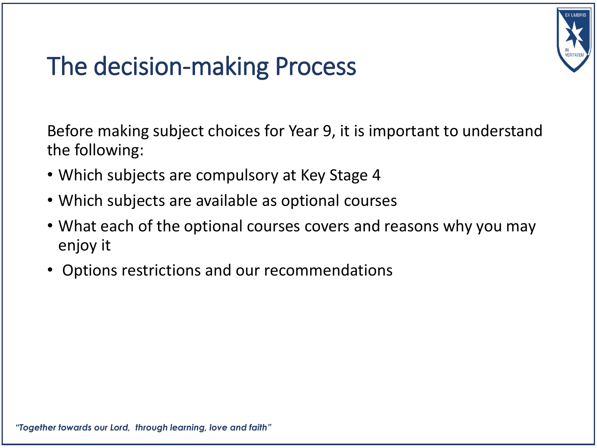

# The decision-making Process

Before making subject choices for Year 9, it is important to understand the following:

- Which subjects are compulsory at Key Stage 4
- Which subjects are available as optional courses
- What each of the optional courses covers and reasons why you may enjoy it
- Options restrictions and our recommendations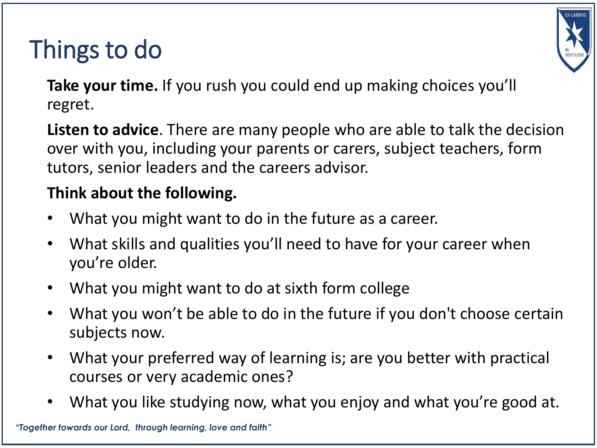# Things to do



**Take your time.** If you rush you could end up making choices you'll regret.

**Listen to advice**. There are many people who are able to talk the decision over with you, including your parents or carers, subject teachers, form tutors, senior leaders and the careers advisor.

#### **Think about the following.**

- What you might want to do in the future as a career.
- What skills and qualities you'll need to have for your career when you're older.
- What you might want to do at sixth form college
- What you won't be able to do in the future if you don't choose certain subjects now.
- What your preferred way of learning is; are you better with practical courses or very academic ones?
- What you like studying now, what you enjoy and what you're good at.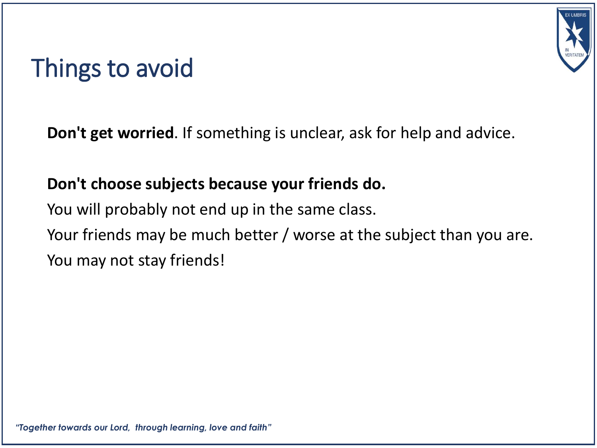### Things to avoid

**Don't get worried**. If something is unclear, ask for help and advice.

#### **Don't choose subjects because your friends do.**

You will probably not end up in the same class. Your friends may be much better / worse at the subject than you are. You may not stay friends!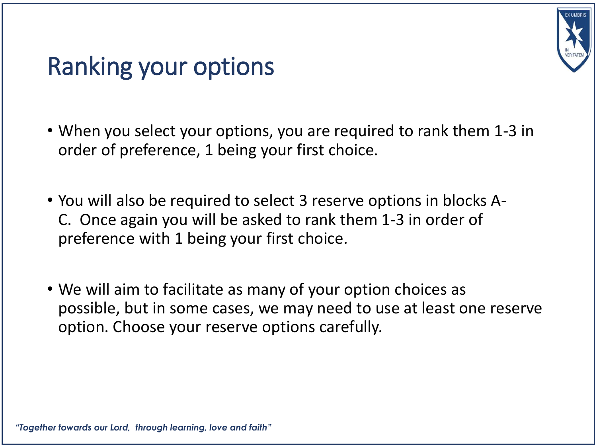

### Ranking your options

- When you select your options, you are required to rank them 1-3 in order of preference, 1 being your first choice.
- You will also be required to select 3 reserve options in blocks A-C. Once again you will be asked to rank them 1-3 in order of preference with 1 being your first choice.
- We will aim to facilitate as many of your option choices as possible, but in some cases, we may need to use at least one reserve option. Choose your reserve options carefully.